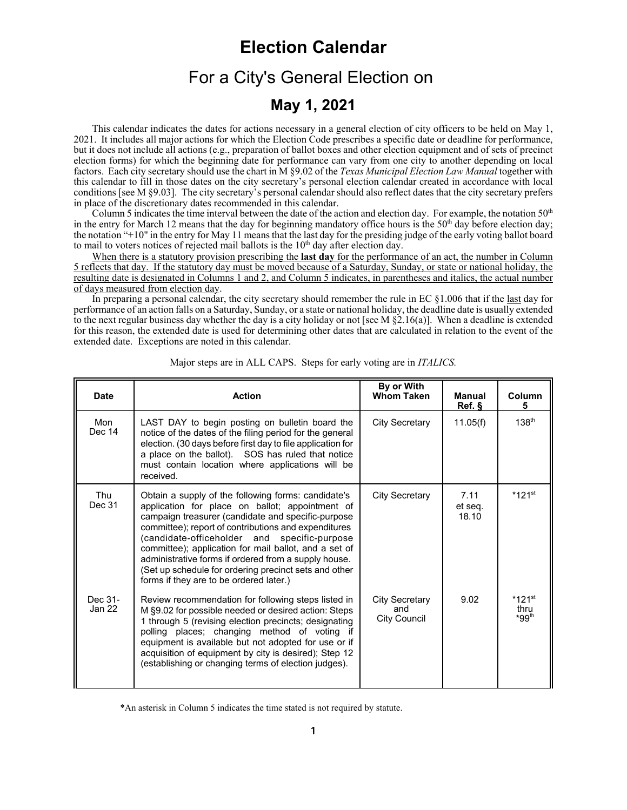# **Election Calendar**

# For a City's General Election on

## **May 1, 2021**

This calendar indicates the dates for actions necessary in a general election of city officers to be held on May 1, 2021. It includes all major actions for which the Election Code prescribes a specific date or deadline for performance, but it does not include all actions (e.g., preparation of ballot boxes and other election equipment and of sets of precinct election forms) for which the beginning date for performance can vary from one city to another depending on local factors. Each city secretary should use the chart in M §9.02 of the *Texas Municipal Election Law Manual* together with this calendar to fill in those dates on the city secretary's personal election calendar created in accordance with local conditions [see M §9.03]. The city secretary's personal calendar should also reflect dates that the city secretary prefers in place of the discretionary dates recommended in this calendar.

Column 5 indicates the time interval between the date of the action and election day. For example, the notation 50<sup>th</sup> in the entry for March 12 means that the day for beginning mandatory office hours is the  $50<sup>th</sup>$  day before election day; the notation "+10" in the entry for May 11 means that the last day for the presiding judge of the early voting ballot board to mail to voters notices of rejected mail ballots is the  $10<sup>th</sup>$  day after election day.

When there is a statutory provision prescribing the **last day** for the performance of an act, the number in Column 5 reflects that day. If the statutory day must be moved because of a Saturday, Sunday, or state or national holiday, the resulting date is designated in Columns 1 and 2, and Column 5 indicates, in parentheses and italics, the actual number of days measured from election day.

In preparing a personal calendar, the city secretary should remember the rule in EC  $\S1.006$  that if the last day for performance of an action falls on a Saturday, Sunday, or a state or national holiday, the deadline date is usually extended to the next regular business day whether the day is a city holiday or not [see M  $\S2.16(a)$ ]. When a deadline is extended for this reason, the extended date is used for determining other dates that are calculated in relation to the event of the extended date. Exceptions are noted in this calendar.

| <b>Date</b>       | <b>Action</b>                                                                                                                                                                                                                                                                                                                                                                                                                                                                             | By or With<br><b>Whom Taken</b>                     | <b>Manual</b><br>Ref.    | Column<br>5                                          |
|-------------------|-------------------------------------------------------------------------------------------------------------------------------------------------------------------------------------------------------------------------------------------------------------------------------------------------------------------------------------------------------------------------------------------------------------------------------------------------------------------------------------------|-----------------------------------------------------|--------------------------|------------------------------------------------------|
| Mon<br>Dec 14     | LAST DAY to begin posting on bulletin board the<br>notice of the dates of the filing period for the general<br>election. (30 days before first day to file application for<br>a place on the ballot). SOS has ruled that notice<br>must contain location where applications will be<br>received.                                                                                                                                                                                          | <b>City Secretary</b>                               | 11.05(f)                 | 138 <sup>th</sup>                                    |
| Thu<br>Dec 31     | Obtain a supply of the following forms: candidate's<br>application for place on ballot; appointment of<br>campaign treasurer (candidate and specific-purpose<br>committee); report of contributions and expenditures<br>(candidate-officeholder and specific-purpose<br>committee); application for mail ballot, and a set of<br>administrative forms if ordered from a supply house.<br>(Set up schedule for ordering precinct sets and other<br>forms if they are to be ordered later.) | <b>City Secretary</b>                               | 7.11<br>et seg.<br>18.10 | $*121$ <sup>st</sup>                                 |
| Dec 31-<br>Jan 22 | Review recommendation for following steps listed in<br>M §9.02 for possible needed or desired action: Steps<br>1 through 5 (revising election precincts; designating<br>polling places; changing method of voting if<br>equipment is available but not adopted for use or if<br>acquisition of equipment by city is desired); Step 12<br>(establishing or changing terms of election judges).                                                                                             | <b>City Secretary</b><br>and<br><b>City Council</b> | 9.02                     | $*121$ <sup>st</sup><br>thru<br>$*$ 99 <sup>th</sup> |

Major steps are in ALL CAPS. Steps for early voting are in *ITALICS.*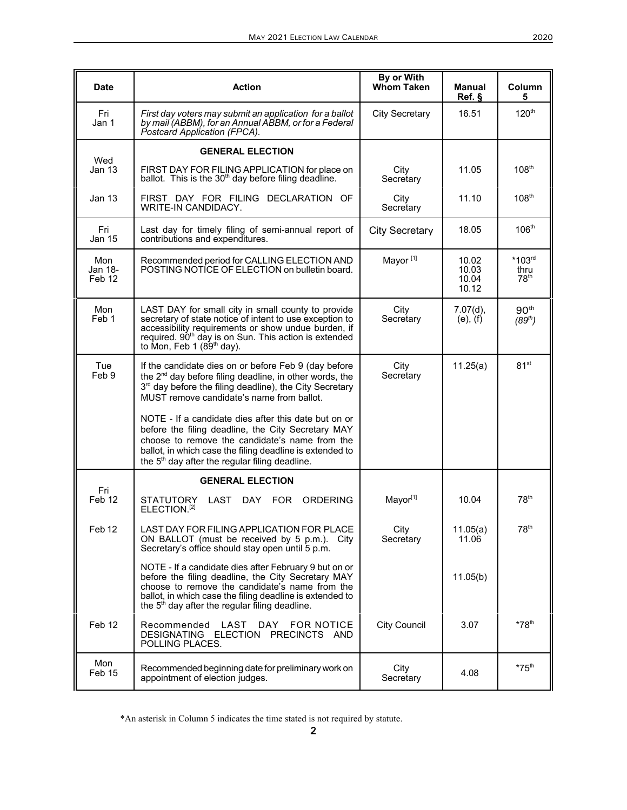| Date                     | <b>Action</b>                                                                                                                                                                                                                                                                          | By or With<br><b>Whom Taken</b> | Manual<br>Ref.                   | Column<br>5                             |
|--------------------------|----------------------------------------------------------------------------------------------------------------------------------------------------------------------------------------------------------------------------------------------------------------------------------------|---------------------------------|----------------------------------|-----------------------------------------|
| Fri<br>Jan 1             | First day voters may submit an application for a ballot<br>by mail (ABBM), for an Annual ABBM, or for a Federal<br>Postcard Application (FPCA).                                                                                                                                        | <b>City Secretary</b>           | 16.51                            | 120 <sup>th</sup>                       |
|                          | <b>GENERAL ELECTION</b>                                                                                                                                                                                                                                                                |                                 |                                  |                                         |
| Wed<br><b>Jan 13</b>     | FIRST DAY FOR FILING APPLICATION for place on<br>ballot. This is the 30 <sup>th</sup> day before filing deadline.                                                                                                                                                                      | City<br>Secretary               | 11.05                            | 108 <sup>th</sup>                       |
| Jan 13                   | FIRST DAY FOR FILING DECLARATION OF<br><b>WRITE-IN CANDIDACY.</b>                                                                                                                                                                                                                      | City<br>Secretary               | 11.10                            | 108 <sup>th</sup>                       |
| Fri<br>Jan 15            | Last day for timely filing of semi-annual report of<br>contributions and expenditures.                                                                                                                                                                                                 | <b>City Secretary</b>           | 18.05                            | 106 <sup>th</sup>                       |
| Mon<br>Jan 18-<br>Feb 12 | Recommended period for CALLING ELECTION AND<br>POSTING NOTICE OF ELECTION on bulletin board.                                                                                                                                                                                           | Mayor <sup>[1]</sup>            | 10.02<br>10.03<br>10.04<br>10.12 | $*103rd$<br>thru<br>78 <sup>th</sup>    |
| Mon<br>Feb 1             | LAST DAY for small city in small county to provide<br>secretary of state notice of intent to use exception to<br>accessibility requirements or show undue burden, if<br>required. 90 <sup>th</sup> day is on Sun. This action is extended<br>to Mon, Feb 1 $(89th$ day).               | City<br>Secretary               | 7.07(d),<br>(e), (f)             | 90 <sup>th</sup><br>(89 <sup>th</sup> ) |
| Tue<br>Feb 9             | If the candidate dies on or before Feb 9 (day before<br>the 2 <sup>nd</sup> day before filing deadline, in other words, the<br>3rd day before the filing deadline), the City Secretary<br>MUST remove candidate's name from ballot.                                                    | City<br>Secretary               | 11.25(a)                         | 81 <sup>st</sup>                        |
|                          | NOTE - If a candidate dies after this date but on or<br>before the filing deadline, the City Secretary MAY<br>choose to remove the candidate's name from the<br>ballot, in which case the filing deadline is extended to<br>the 5 <sup>th</sup> day after the regular filing deadline. |                                 |                                  |                                         |
|                          | <b>GENERAL ELECTION</b>                                                                                                                                                                                                                                                                |                                 |                                  |                                         |
| Fri<br>Feb 12            | <b>STATUTORY</b><br>LAST DAY FOR<br><b>ORDERING</b><br>ELECTION. <sup>[2]</sup>                                                                                                                                                                                                        | Mayor[1]                        | 10.04                            | 78 <sup>th</sup>                        |
| Feb 12                   | LAST DAY FOR FILING APPLICATION FOR PLACE<br>ON BALLOT (must be received by 5 p.m.). City<br>Secretary's office should stay open until 5 p.m.                                                                                                                                          | City<br>Secretary               | 11.05(a)<br>11.06                | 78 <sup>th</sup>                        |
|                          | NOTE - If a candidate dies after February 9 but on or<br>before the filing deadline, the City Secretary MAY<br>choose to remove the candidate's name from the<br>ballot, in which case the filing deadline is extended to<br>the $5th$ day after the regular filing deadline.          |                                 | 11.05(b)                         |                                         |
| Feb 12                   | Recommended LAST<br>DAY FOR NOTICE<br>DESIGNATING ELECTION PRECINCTS AND<br>POLLING PLACES.                                                                                                                                                                                            | <b>City Council</b>             | 3.07                             | $*78$ <sup>th</sup>                     |
| Mon<br>Feb 15            | Recommended beginning date for preliminary work on<br>appointment of election judges.                                                                                                                                                                                                  | City<br>Secretary               | 4.08                             | $*75$ <sup>th</sup>                     |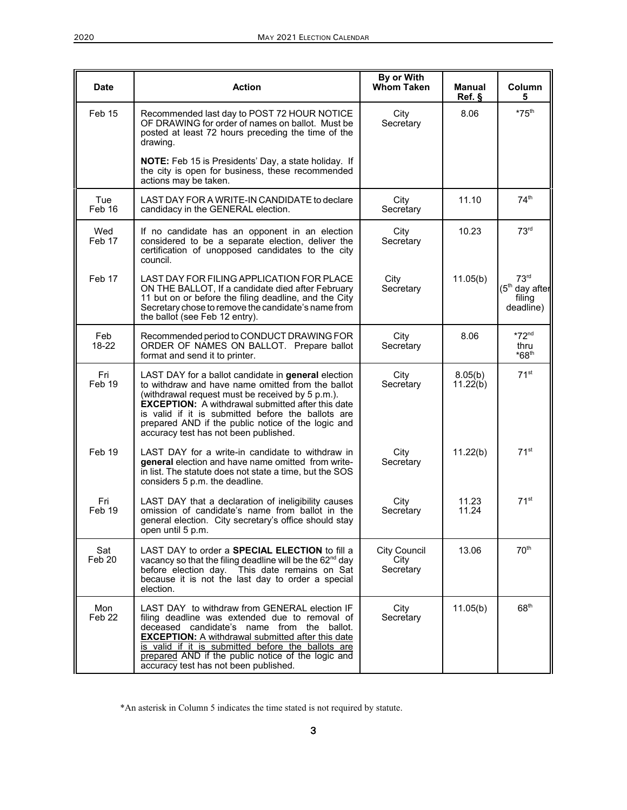| <b>Date</b>   | <b>Action</b>                                                                                                                                                                                                                                                                                                                                                                 | By or With<br><b>Whom Taken</b>   | <b>Manual</b><br>Ref. § | Column<br>5                                                 |
|---------------|-------------------------------------------------------------------------------------------------------------------------------------------------------------------------------------------------------------------------------------------------------------------------------------------------------------------------------------------------------------------------------|-----------------------------------|-------------------------|-------------------------------------------------------------|
| Feb 15        | Recommended last day to POST 72 HOUR NOTICE<br>OF DRAWING for order of names on ballot. Must be<br>posted at least 72 hours preceding the time of the<br>drawing.                                                                                                                                                                                                             | City<br>Secretary                 | 8.06                    | $*75^{\text{th}}$                                           |
|               | NOTE: Feb 15 is Presidents' Day, a state holiday. If<br>the city is open for business, these recommended<br>actions may be taken.                                                                                                                                                                                                                                             |                                   |                         |                                                             |
| Tue<br>Feb 16 | LAST DAY FOR A WRITE-IN CANDIDATE to declare<br>candidacy in the GENERAL election.                                                                                                                                                                                                                                                                                            | City<br>Secretary                 | 11.10                   | 74 <sup>th</sup>                                            |
| Wed<br>Feb 17 | If no candidate has an opponent in an election<br>considered to be a separate election, deliver the<br>certification of unopposed candidates to the city<br>council.                                                                                                                                                                                                          | City<br>Secretary                 | 10.23                   | 73 <sup>rd</sup>                                            |
| Feb 17        | LAST DAY FOR FILING APPLICATION FOR PLACE<br>ON THE BALLOT, If a candidate died after February<br>11 but on or before the filing deadline, and the City<br>Secretary chose to remove the candidate's name from<br>the ballot (see Feb 12 entry).                                                                                                                              | City<br>Secretary                 | 11.05(b)                | 73 <sup>rd</sup><br>$(5th$ day after<br>filing<br>deadline) |
| Feb<br>18-22  | Recommended period to CONDUCT DRAWING FOR<br>ORDER OF NAMES ON BALLOT. Prepare ballot<br>format and send it to printer.                                                                                                                                                                                                                                                       | City<br>Secretary                 | 8.06                    | $*72nd$<br>thru<br>$*68$ <sup>th</sup>                      |
| Fri<br>Feb 19 | LAST DAY for a ballot candidate in general election<br>to withdraw and have name omitted from the ballot<br>(withdrawal request must be received by 5 p.m.).<br><b>EXCEPTION:</b> A withdrawal submitted after this date<br>is valid if it is submitted before the ballots are<br>prepared AND if the public notice of the logic and<br>accuracy test has not been published. | City<br>Secretary                 | 8.05(b)<br>11.22(b)     | 71 <sup>st</sup>                                            |
| Feb 19        | LAST DAY for a write-in candidate to withdraw in<br>general election and have name omitted from write-<br>in list. The statute does not state a time, but the SOS<br>considers 5 p.m. the deadline.                                                                                                                                                                           | City<br>Secretary                 | 11.22(b)                | 71 <sup>st</sup>                                            |
| Fri<br>Feb 19 | LAST DAY that a declaration of ineligibility causes<br>omission of candidate's name from ballot in the<br>general election. City secretary's office should stay<br>open until 5 p.m.                                                                                                                                                                                          | City<br>Secretary                 | 11.23<br>11.24          | 71 <sup>st</sup>                                            |
| Sat<br>Feb 20 | LAST DAY to order a SPECIAL ELECTION to fill a<br>vacancy so that the filing deadline will be the 62 <sup>nd</sup> day<br>before election day. This date remains on Sat<br>because it is not the last day to order a special<br>election.                                                                                                                                     | City Council<br>City<br>Secretary | 13.06                   | $70^{\text{th}}$                                            |
| Mon<br>Feb 22 | LAST DAY to withdraw from GENERAL election IF<br>filing deadline was extended due to removal of<br>deceased candidate's name from the ballot.<br><b>EXCEPTION:</b> A withdrawal submitted after this date<br>is valid if it is submitted before the ballots are<br>prepared AND if the public notice of the logic and<br>accuracy test has not been published.                | City<br>Secretary                 | 11.05(b)                | 68 <sup>th</sup>                                            |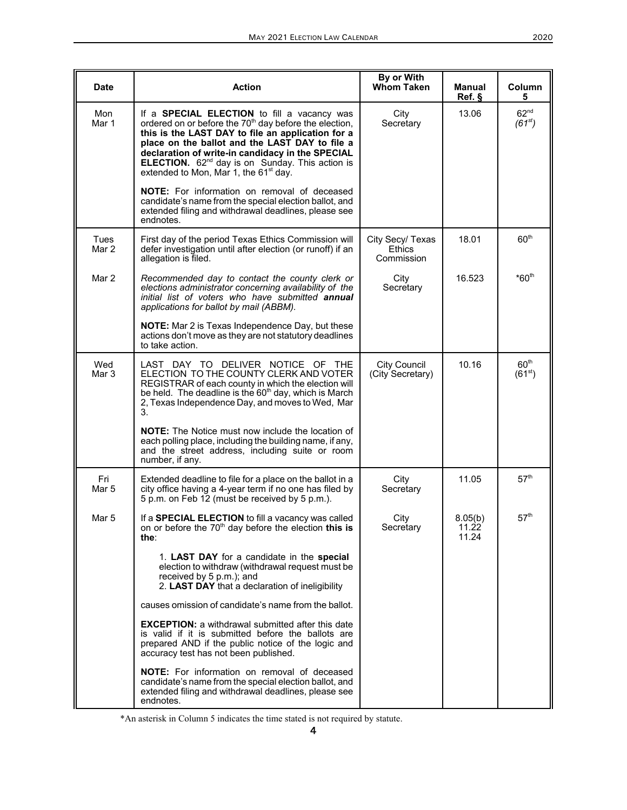| <b>Date</b>   | <b>Action</b>                                                                                                                                                                                                                                                                                                                                                                                           | By or With<br><b>Whom Taken</b>                 | Manual<br>Ref. §          | Column<br>5                     |
|---------------|---------------------------------------------------------------------------------------------------------------------------------------------------------------------------------------------------------------------------------------------------------------------------------------------------------------------------------------------------------------------------------------------------------|-------------------------------------------------|---------------------------|---------------------------------|
| Mon<br>Mar 1  | If a <b>SPECIAL ELECTION</b> to fill a vacancy was<br>ordered on or before the 70 <sup>th</sup> day before the election,<br>this is the LAST DAY to file an application for a<br>place on the ballot and the LAST DAY to file a<br>declaration of write-in candidacy in the SPECIAL<br>ELECTION. 62 <sup>nd</sup> day is on Sunday. This action is<br>extended to Mon, Mar 1, the 61 <sup>st</sup> day. | City<br>Secretary                               | 13.06                     | 62 <sup>nd</sup><br>$(61^{st})$ |
|               | <b>NOTE:</b> For information on removal of deceased<br>candidate's name from the special election ballot, and<br>extended filing and withdrawal deadlines, please see<br>endnotes.                                                                                                                                                                                                                      |                                                 |                           |                                 |
| Tues<br>Mar 2 | First day of the period Texas Ethics Commission will<br>defer investigation until after election (or runoff) if an<br>allegation is filed.                                                                                                                                                                                                                                                              | City Secy/ Texas<br><b>Ethics</b><br>Commission | 18.01                     | 60 <sup>th</sup>                |
| Mar 2         | Recommended day to contact the county clerk or<br>elections administrator concerning availability of the<br>initial list of voters who have submitted annual<br>applications for ballot by mail (ABBM).                                                                                                                                                                                                 | City<br>Secretary                               | 16.523                    | $*60th$                         |
|               | NOTE: Mar 2 is Texas Independence Day, but these<br>actions don't move as they are not statutory deadlines<br>to take action.                                                                                                                                                                                                                                                                           |                                                 |                           |                                 |
| Wed<br>Mar 3  | LAST DAY TO DELIVER NOTICE OF<br>- THE<br>ELECTION TO THE COUNTY CLERK AND VOTER<br>REGISTRAR of each county in which the election will<br>be held. The deadline is the 60 <sup>th</sup> day, which is March<br>2, Texas Independence Day, and moves to Wed, Mar<br>3.                                                                                                                                  | <b>City Council</b><br>(City Secretary)         | 10.16                     | 60 <sup>th</sup><br>$(61^{st})$ |
|               | <b>NOTE:</b> The Notice must now include the location of<br>each polling place, including the building name, if any,<br>and the street address, including suite or room<br>number, if any.                                                                                                                                                                                                              |                                                 |                           |                                 |
| Fri<br>Mar 5  | Extended deadline to file for a place on the ballot in a<br>city office having a 4-year term if no one has filed by<br>5 p.m. on Feb 12 (must be received by 5 p.m.).                                                                                                                                                                                                                                   | City<br>Secretary                               | 11.05                     | $57^{\rm th}$                   |
| Mar 5         | If a SPECIAL ELECTION to fill a vacancy was called<br>on or before the 70 <sup>th</sup> day before the election this is<br>the∶                                                                                                                                                                                                                                                                         | City<br>Secretary                               | 8.05(b)<br>11.22<br>11.24 | 57 <sup>th</sup>                |
|               | 1. LAST DAY for a candidate in the special<br>election to withdraw (withdrawal request must be<br>received by 5 p.m.); and<br>2. LAST DAY that a declaration of ineligibility                                                                                                                                                                                                                           |                                                 |                           |                                 |
|               | causes omission of candidate's name from the ballot.                                                                                                                                                                                                                                                                                                                                                    |                                                 |                           |                                 |
|               | <b>EXCEPTION:</b> a withdrawal submitted after this date<br>is valid if it is submitted before the ballots are<br>prepared AND if the public notice of the logic and<br>accuracy test has not been published.                                                                                                                                                                                           |                                                 |                           |                                 |
|               | <b>NOTE:</b> For information on removal of deceased<br>candidate's name from the special election ballot, and<br>extended filing and withdrawal deadlines, please see<br>endnotes.                                                                                                                                                                                                                      |                                                 |                           |                                 |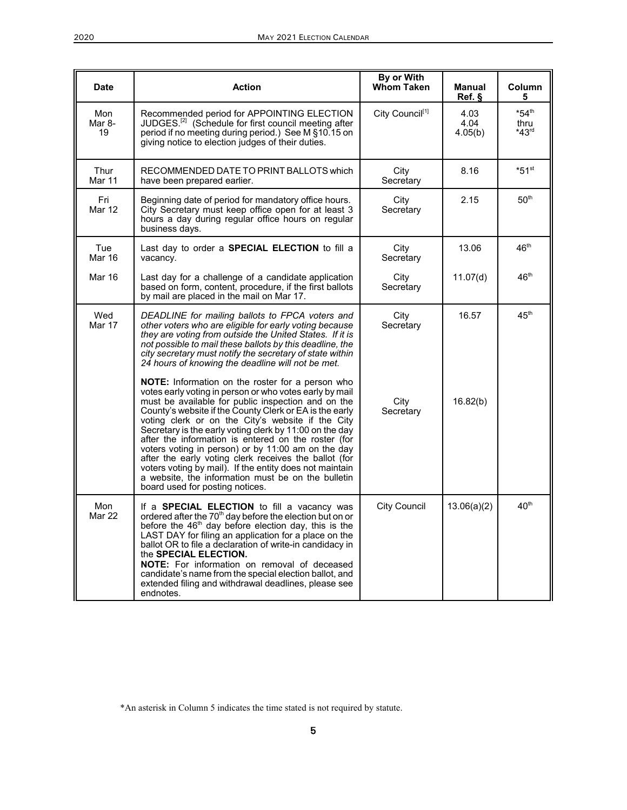| <b>Date</b>          | <b>Action</b>                                                                                                                                                                                                                                                                                                                                                                                                                                                                                                                                                                                                                                                                 | By or With<br><b>Whom Taken</b> | <b>Manual</b><br>Ref.   | <b>Column</b><br>5                     |
|----------------------|-------------------------------------------------------------------------------------------------------------------------------------------------------------------------------------------------------------------------------------------------------------------------------------------------------------------------------------------------------------------------------------------------------------------------------------------------------------------------------------------------------------------------------------------------------------------------------------------------------------------------------------------------------------------------------|---------------------------------|-------------------------|----------------------------------------|
| Mon<br>Mar 8-<br>19  | Recommended period for APPOINTING ELECTION<br>JUDGES. <sup>[2]</sup> (Schedule for first council meeting after<br>period if no meeting during period.) See M §10.15 on<br>giving notice to election judges of their duties.                                                                                                                                                                                                                                                                                                                                                                                                                                                   | City Council <sup>[1]</sup>     | 4.03<br>4.04<br>4.05(b) | $*54$ <sup>th</sup><br>thru<br>$*43rd$ |
| Thur<br>Mar 11       | RECOMMENDED DATE TO PRINT BALLOTS which<br>have been prepared earlier.                                                                                                                                                                                                                                                                                                                                                                                                                                                                                                                                                                                                        | City<br>Secretary               | 8.16                    | $*51$ <sup>st</sup>                    |
| Fri<br>Mar 12        | Beginning date of period for mandatory office hours.<br>City Secretary must keep office open for at least 3<br>hours a day during regular office hours on regular<br>business days.                                                                                                                                                                                                                                                                                                                                                                                                                                                                                           | City<br>Secretary               | 2.15                    | $50^{\rm th}$                          |
| Tue<br>Mar 16        | Last day to order a <b>SPECIAL ELECTION</b> to fill a<br>vacancy.                                                                                                                                                                                                                                                                                                                                                                                                                                                                                                                                                                                                             | City<br>Secretary               | 13.06                   | 46 <sup>th</sup>                       |
| Mar 16               | Last day for a challenge of a candidate application<br>based on form, content, procedure, if the first ballots<br>by mail are placed in the mail on Mar 17.                                                                                                                                                                                                                                                                                                                                                                                                                                                                                                                   | City<br>Secretary               | 11.07(d)                | 46 <sup>th</sup>                       |
| Wed<br><b>Mar 17</b> | DEADLINE for mailing ballots to FPCA voters and<br>other voters who are eligible for early voting because<br>they are voting from outside the United States. If it is<br>not possible to mail these ballots by this deadline, the<br>city secretary must notify the secretary of state within<br>24 hours of knowing the deadline will not be met.                                                                                                                                                                                                                                                                                                                            | City<br>Secretary               | 16.57                   | 45 <sup>th</sup>                       |
|                      | <b>NOTE:</b> Information on the roster for a person who<br>votes early voting in person or who votes early by mail<br>must be available for public inspection and on the<br>County's website if the County Clerk or EA is the early<br>voting clerk or on the City's website if the City<br>Secretary is the early voting clerk by 11:00 on the day<br>after the information is entered on the roster (for<br>voters voting in person) or by 11:00 am on the day<br>after the early voting clerk receives the ballot (for<br>voters voting by mail). If the entity does not maintain<br>a website, the information must be on the bulletin<br>board used for posting notices. | City<br>Secretary               | 16.82(b)                |                                        |
| Mon<br><b>Mar 22</b> | If a <b>SPECIAL ELECTION</b> to fill a vacancy was<br>ordered after the 70 <sup>th</sup> day before the election but on or<br>before the $46th$ day before election day, this is the<br>LAST DAY for filing an application for a place on the<br>ballot OR to file a declaration of write-in candidacy in<br>the SPECIAL ELECTION.<br><b>NOTE:</b> For information on removal of deceased<br>candidate's name from the special election ballot, and<br>extended filing and withdrawal deadlines, please see<br>endnotes.                                                                                                                                                      | <b>City Council</b>             | 13.06(a)(2)             | 40 <sup>th</sup>                       |

<sup>\*</sup>An asterisk in Column 5 indicates the time stated is not required by statute.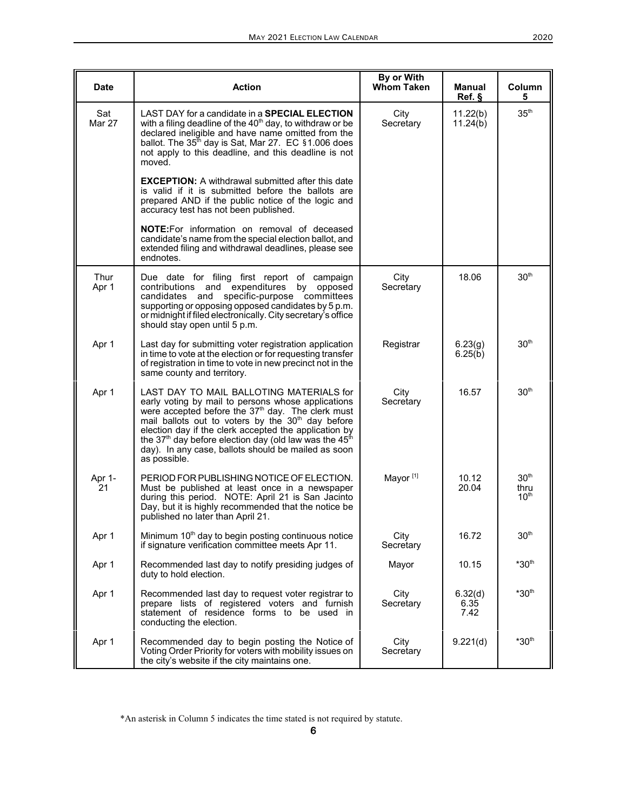| Date          | <b>Action</b>                                                                                                                                                                                                                                                                                                                                                                                                                                      | By or With<br><b>Whom Taken</b> | Manual<br>Ref.          | Column<br>5                                  |
|---------------|----------------------------------------------------------------------------------------------------------------------------------------------------------------------------------------------------------------------------------------------------------------------------------------------------------------------------------------------------------------------------------------------------------------------------------------------------|---------------------------------|-------------------------|----------------------------------------------|
| Sat<br>Mar 27 | LAST DAY for a candidate in a <b>SPECIAL ELECTION</b><br>with a filing deadline of the 40 <sup>th</sup> day, to withdraw or be<br>declared ineligible and have name omitted from the<br>ballot. The $35th$ day is Sat, Mar 27. EC §1.006 does<br>not apply to this deadline, and this deadline is not<br>moved.                                                                                                                                    | City<br>Secretary               | 11.22(b)<br>11.24(b)    | 35 <sup>th</sup>                             |
|               | <b>EXCEPTION:</b> A withdrawal submitted after this date<br>is valid if it is submitted before the ballots are<br>prepared AND if the public notice of the logic and<br>accuracy test has not been published.                                                                                                                                                                                                                                      |                                 |                         |                                              |
|               | <b>NOTE:</b> For information on removal of deceased<br>candidate's name from the special election ballot, and<br>extended filing and withdrawal deadlines, please see<br>endnotes.                                                                                                                                                                                                                                                                 |                                 |                         |                                              |
| Thur<br>Apr 1 | Due date for filing first report of campaign<br>contributions and expenditures<br>by opposed<br>specific-purpose committees<br>candidates and<br>supporting or opposing opposed candidates by 5 p.m.<br>or midnight if filed electronically. City secretary's office<br>should stay open until 5 p.m.                                                                                                                                              | City<br>Secretary               | 18.06                   | 30 <sup>th</sup>                             |
| Apr 1         | Last day for submitting voter registration application<br>in time to vote at the election or for requesting transfer<br>of registration in time to vote in new precinct not in the<br>same county and territory.                                                                                                                                                                                                                                   | Registrar                       | 6.23(g)<br>6.25(b)      | 30 <sup>th</sup>                             |
| Apr 1         | LAST DAY TO MAIL BALLOTING MATERIALS for<br>early voting by mail to persons whose applications<br>were accepted before the 37 <sup>th</sup> day. The clerk must<br>mail ballots out to voters by the 30 <sup>th</sup> day before<br>election day if the clerk accepted the application by<br>the 37 <sup>th</sup> day before election day (old law was the 45 <sup>th</sup><br>day). In any case, ballots should be mailed as soon<br>as possible. | City<br>Secretary               | 16.57                   | 30 <sup>th</sup>                             |
| Apr 1-<br>21  | PERIOD FOR PUBLISHING NOTICE OF ELECTION.<br>Must be published at least once in a newspaper<br>during this period. NOTE: April 21 is San Jacinto<br>Day, but it is highly recommended that the notice be<br>published no later than April 21.                                                                                                                                                                                                      | Mayor <sup>[1]</sup>            | 10.12<br>20.04          | 30 <sup>th</sup><br>thru<br>10 <sup>th</sup> |
| Apr 1         | Minimum 10 <sup>th</sup> day to begin posting continuous notice<br>if signature verification committee meets Apr 11.                                                                                                                                                                                                                                                                                                                               | City<br>Secretary               | 16.72                   | 30 <sup>th</sup>                             |
| Apr 1         | Recommended last day to notify presiding judges of<br>duty to hold election.                                                                                                                                                                                                                                                                                                                                                                       | Mayor                           | 10.15                   | $*30th$                                      |
| Apr 1         | Recommended last day to request voter registrar to<br>prepare lists of registered voters and furnish<br>statement of residence forms to be used in<br>conducting the election.                                                                                                                                                                                                                                                                     | City<br>Secretary               | 6.32(d)<br>6.35<br>7.42 | $*30th$                                      |
| Apr 1         | Recommended day to begin posting the Notice of<br>Voting Order Priority for voters with mobility issues on<br>the city's website if the city maintains one.                                                                                                                                                                                                                                                                                        | City<br>Secretary               | 9.221(d)                | $*30th$                                      |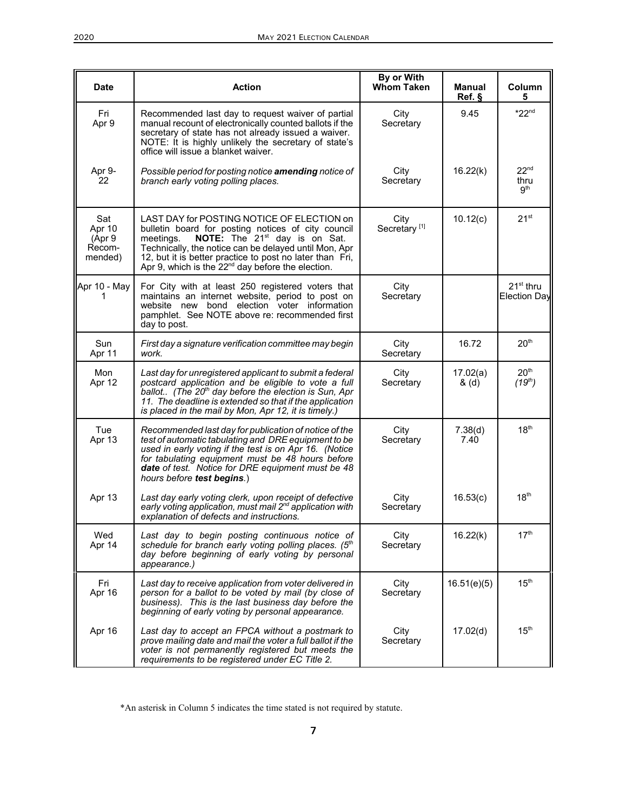| <b>Date</b>                                  | <b>Action</b>                                                                                                                                                                                                                                                                                                                             | By or With<br><b>Whom Taken</b>  | <b>Manual</b><br>Ref. § | Column<br>5                        |
|----------------------------------------------|-------------------------------------------------------------------------------------------------------------------------------------------------------------------------------------------------------------------------------------------------------------------------------------------------------------------------------------------|----------------------------------|-------------------------|------------------------------------|
| Fri<br>Apr 9                                 | Recommended last day to request waiver of partial<br>manual recount of electronically counted ballots if the<br>secretary of state has not already issued a waiver.<br>NOTE: It is highly unlikely the secretary of state's<br>office will issue a blanket waiver.                                                                        | City<br>Secretary                | 9.45                    | $*22nd$                            |
| Apr 9-<br>22                                 | Possible period for posting notice amending notice of<br>branch early voting polling places.                                                                                                                                                                                                                                              | City<br>Secretary                | 16.22(k)                | 22 <sup>nd</sup><br>thru<br>gth    |
| Sat<br>Apr 10<br>(Apr 9<br>Recom-<br>mended) | LAST DAY for POSTING NOTICE OF ELECTION on<br>bulletin board for posting notices of city council<br>NOTE: The 21 <sup>st</sup> day is on Sat.<br>meetings.<br>Technically, the notice can be delayed until Mon, Apr<br>12, but it is better practice to post no later than Fri,<br>Apr 9, which is the $22^{nd}$ day before the election. | City<br>Secretary <sup>[1]</sup> | 10.12(c)                | $21^{st}$                          |
| Apr 10 - May<br>1                            | For City with at least 250 registered voters that<br>maintains an internet website, period to post on<br>website new bond election voter information<br>pamphlet. See NOTE above re: recommended first<br>day to post.                                                                                                                    | City<br>Secretary                |                         | $21st$ thru<br><b>Election Day</b> |
| Sun<br>Apr 11                                | First day a signature verification committee may begin<br>work.                                                                                                                                                                                                                                                                           | City<br>Secretary                | 16.72                   | 20 <sup>th</sup>                   |
| Mon<br>Apr 12                                | Last day for unregistered applicant to submit a federal<br>postcard application and be eligible to vote a full<br>ballot (The 20 <sup>th</sup> day before the election is Sun, Apr<br>11. The deadline is extended so that if the application<br>is placed in the mail by Mon, Apr 12, it is timely.)                                     | City<br>Secretary                | 17.02(a)<br>& (d)       | 20 <sup>th</sup><br>$(19^{th})$    |
| Tue<br>Apr 13                                | Recommended last day for publication of notice of the<br>test of automatic tabulating and DRE equipment to be<br>used in early voting if the test is on Apr 16. (Notice<br>for tabulating equipment must be 48 hours before<br>date of test. Notice for DRE equipment must be 48<br>hours before test begins.)                            | City<br>Secretary                | 7.38(d)<br>7.40         | 18 <sup>th</sup>                   |
| Apr 13                                       | Last day early voting clerk, upon receipt of defective<br>early voting application, must mail 2 <sup>nd</sup> application with<br>explanation of defects and instructions.                                                                                                                                                                | City<br>Secretary                | 16.53(c)                | 18 <sup>th</sup>                   |
| Wed<br>Apr 14                                | Last day to begin posting continuous notice of<br>schedule for branch early voting polling places. (5th<br>day before beginning of early voting by personal<br>appearance.)                                                                                                                                                               | City<br>Secretary                | 16.22(k)                | 17 <sup>th</sup>                   |
| Fri<br>Apr 16                                | Last day to receive application from voter delivered in<br>person for a ballot to be voted by mail (by close of<br>business). This is the last business day before the<br>beginning of early voting by personal appearance.                                                                                                               | City<br>Secretary                | 16.51(e)(5)             | 15 <sup>th</sup>                   |
| Apr 16                                       | Last day to accept an FPCA without a postmark to<br>prove mailing date and mail the voter a full ballot if the<br>voter is not permanently registered but meets the<br>requirements to be registered under EC Title 2.                                                                                                                    | City<br>Secretary                | 17.02(d)                | 15 <sup>th</sup>                   |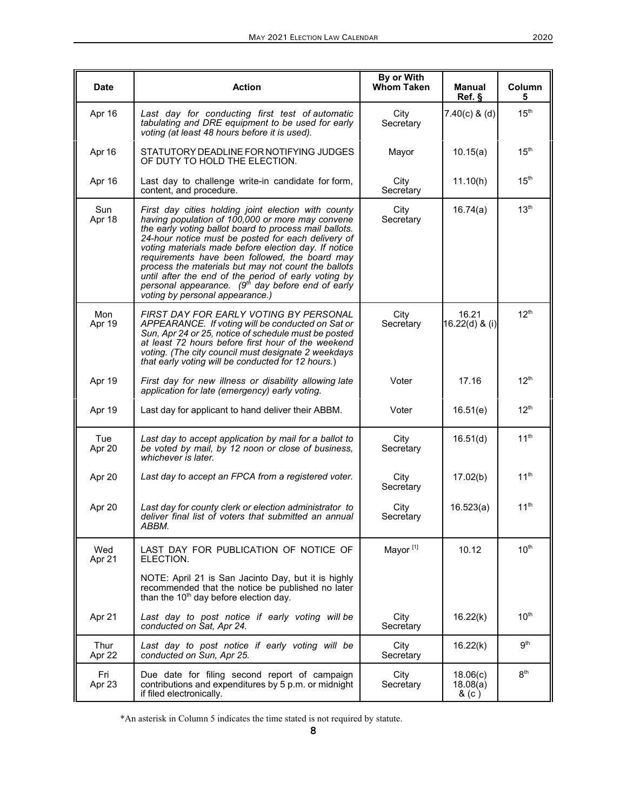| Date           | <b>Action</b>                                                                                                                                                                                                                                                                                                                                                                                                                                                                                                                                        | By or With<br><b>Whom Taken</b> | <b>Manual</b><br>Ref. §       | Column<br>5      |
|----------------|------------------------------------------------------------------------------------------------------------------------------------------------------------------------------------------------------------------------------------------------------------------------------------------------------------------------------------------------------------------------------------------------------------------------------------------------------------------------------------------------------------------------------------------------------|---------------------------------|-------------------------------|------------------|
| Apr 16         | Last day for conducting first test of automatic<br>tabulating and DRE equipment to be used for early<br>voting (at least 48 hours before it is used).                                                                                                                                                                                                                                                                                                                                                                                                | City<br>Secretary               | $7.40(c)$ & (d)               | 15 <sup>th</sup> |
| Apr 16         | STATUTORY DEADLINE FOR NOTIFYING JUDGES<br>OF DUTY TO HOLD THE ELECTION.                                                                                                                                                                                                                                                                                                                                                                                                                                                                             | Mayor                           | 10.15(a)                      | $15^{\text{th}}$ |
| Apr 16         | Last day to challenge write-in candidate for form,<br>content, and procedure.                                                                                                                                                                                                                                                                                                                                                                                                                                                                        | City<br>Secretary               | 11.10(h)                      | 15 <sup>th</sup> |
| Sun<br>Apr 18  | First day cities holding joint election with county<br>having population of 100,000 or more may convene<br>the early voting ballot board to process mail ballots.<br>24-hour notice must be posted for each delivery of<br>voting materials made before election day. If notice<br>requirements have been followed, the board may<br>process the materials but may not count the ballots<br>until after the end of the period of early voting by<br>personal appearance. (9 <sup>th</sup> day before end of early<br>voting by personal appearance.) | City<br>Secretary               | 16.74(a)                      | 13 <sup>th</sup> |
| Mon<br>Apr 19  | <b>FIRST DAY FOR EARLY VOTING BY PERSONAL</b><br>APPEARANCE. If voting will be conducted on Sat or<br>Sun, Apr 24 or 25, notice of schedule must be posted<br>at least 72 hours before first hour of the weekend<br>voting. (The city council must designate 2 weekdays<br>that early voting will be conducted for 12 hours.)                                                                                                                                                                                                                        | City<br>Secretary               | 16.21<br>16.22(d) & (i)       | 12 <sup>th</sup> |
| Apr 19         | First day for new illness or disability allowing late<br>application for late (emergency) early voting.                                                                                                                                                                                                                                                                                                                                                                                                                                              | Voter                           | 17.16                         | 12 <sup>th</sup> |
| Apr 19         | Last day for applicant to hand deliver their ABBM.                                                                                                                                                                                                                                                                                                                                                                                                                                                                                                   | Voter                           | 16.51(e)                      | 12 <sup>th</sup> |
| Tue<br>Apr 20  | Last day to accept application by mail for a ballot to<br>be voted by mail, by 12 noon or close of business,<br>whichever is later.                                                                                                                                                                                                                                                                                                                                                                                                                  | City<br>Secretary               | 16.51(d)                      | 11 <sup>th</sup> |
| Apr 20         | Last day to accept an FPCA from a registered voter.                                                                                                                                                                                                                                                                                                                                                                                                                                                                                                  | City<br>Secretary               | 17.02(b)                      | $11^{\text{th}}$ |
| Apr 20         | Last day for county clerk or election administrator to<br>deliver final list of voters that submitted an annual<br>ABBM.                                                                                                                                                                                                                                                                                                                                                                                                                             | City<br>Secretary               | 16.523(a)                     | 11 <sup>th</sup> |
| Wed<br>Apr 21  | LAST DAY FOR PUBLICATION OF NOTICE OF<br>ELECTION.                                                                                                                                                                                                                                                                                                                                                                                                                                                                                                   | Mayor <sup>[1]</sup>            | 10.12                         | 10 <sup>th</sup> |
|                | NOTE: April 21 is San Jacinto Day, but it is highly<br>recommended that the notice be published no later<br>than the 10 <sup>th</sup> day before election day.                                                                                                                                                                                                                                                                                                                                                                                       |                                 |                               |                  |
| Apr 21         | Last day to post notice if early voting will be<br>conducted on Sat, Apr 24.                                                                                                                                                                                                                                                                                                                                                                                                                                                                         | City<br>Secretary               | 16.22(k)                      | 10 <sup>th</sup> |
| Thur<br>Apr 22 | Last day to post notice if early voting will be<br>conducted on Sun, Apr 25.                                                                                                                                                                                                                                                                                                                                                                                                                                                                         | City<br>Secretary               | 16.22(k)                      | 9 <sup>th</sup>  |
| Fri<br>Apr 23  | Due date for filing second report of campaign<br>contributions and expenditures by 5 p.m. or midnight<br>if filed electronically.                                                                                                                                                                                                                                                                                                                                                                                                                    | City<br>Secretary               | 18.06(c)<br>18.08(a)<br>& (c) | 8 <sup>th</sup>  |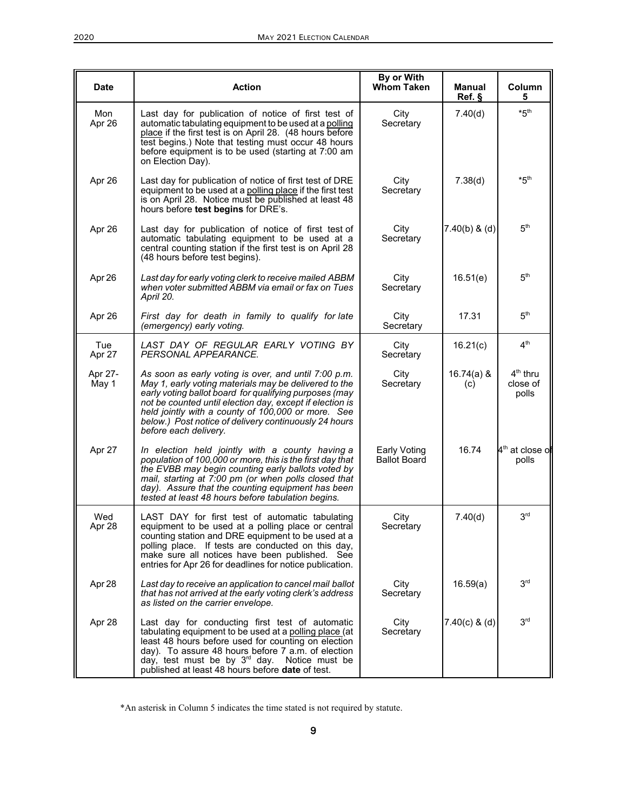| <b>Date</b>      | <b>Action</b>                                                                                                                                                                                                                                                                                                                                                               | By or With<br><b>Whom Taken</b>            | <b>Manual</b><br>Ref. § | Column<br>5                               |
|------------------|-----------------------------------------------------------------------------------------------------------------------------------------------------------------------------------------------------------------------------------------------------------------------------------------------------------------------------------------------------------------------------|--------------------------------------------|-------------------------|-------------------------------------------|
| Mon<br>Apr 26    | Last day for publication of notice of first test of<br>automatic tabulating equipment to be used at a polling<br>place if the first test is on April 28. (48 hours before<br>test begins.) Note that testing must occur 48 hours<br>before equipment is to be used (starting at 7:00 am<br>on Election Day).                                                                | City<br>Secretary                          | 7.40(d)                 | $*5th$                                    |
| Apr 26           | Last day for publication of notice of first test of DRE<br>equipment to be used at a polling place if the first test<br>is on April 28. Notice must be published at least 48<br>hours before test begins for DRE's.                                                                                                                                                         | City<br>Secretary                          | 7.38(d)                 | $*5th$                                    |
| Apr 26           | Last day for publication of notice of first test of<br>automatic tabulating equipment to be used at a<br>central counting station if the first test is on April 28<br>(48 hours before test begins).                                                                                                                                                                        | City<br>Secretary                          | $7.40(b)$ & (d)         | 5 <sup>th</sup>                           |
| Apr 26           | Last day for early voting clerk to receive mailed ABBM<br>when voter submitted ABBM via email or fax on Tues<br>April 20.                                                                                                                                                                                                                                                   | City<br>Secretary                          | 16.51(e)                | 5 <sup>th</sup>                           |
| Apr 26           | First day for death in family to qualify for late<br>(emergency) early voting.                                                                                                                                                                                                                                                                                              | City<br>Secretary                          | 17.31                   | 5 <sup>th</sup>                           |
| Tue<br>Apr 27    | LAST DAY OF REGULAR EARLY VOTING BY<br>PERSONAL APPEARANCE.                                                                                                                                                                                                                                                                                                                 | City<br>Secretary                          | 16.21(c)                | 4 <sup>th</sup>                           |
| Apr 27-<br>May 1 | As soon as early voting is over, and until 7:00 p.m.<br>May 1, early voting materials may be delivered to the<br>early voting ballot board for qualifying purposes (may<br>not be counted until election day, except if election is<br>held jointly with a county of 100,000 or more. See<br>below.) Post notice of delivery continuously 24 hours<br>before each delivery. | City<br>Secretary                          | $16.74(a)$ &<br>(c)     | 4 <sup>th</sup> thru<br>close of<br>polls |
| Apr 27           | In election held jointly with a county having a<br>population of 100,000 or more, this is the first day that<br>the EVBB may begin counting early ballots voted by<br>mail, starting at 7:00 pm (or when polls closed that<br>day). Assure that the counting equipment has been<br>tested at least 48 hours before tabulation begins.                                       | <b>Early Voting</b><br><b>Ballot Board</b> | 16.74                   | 4 <sup>th</sup> at close o<br>polls       |
| Wed<br>Apr 28    | LAST DAY for first test of automatic tabulating<br>equipment to be used at a polling place or central<br>counting station and DRE equipment to be used at a<br>polling place. If tests are conducted on this day,<br>make sure all notices have been published. See<br>entries for Apr 26 for deadlines for notice publication.                                             | City<br>Secretary                          | 7.40(d)                 | 3 <sup>rd</sup>                           |
| Apr 28           | Last day to receive an application to cancel mail ballot<br>that has not arrived at the early voting clerk's address<br>as listed on the carrier envelope.                                                                                                                                                                                                                  | City<br>Secretary                          | 16.59(a)                | 3 <sup>rd</sup>                           |
| Apr 28           | Last day for conducting first test of automatic<br>tabulating equipment to be used at a polling place (at<br>least 48 hours before used for counting on election<br>day). To assure 48 hours before 7 a.m. of election<br>day, test must be by 3 <sup>rd</sup> day. Notice must be<br>published at least 48 hours before date of test.                                      | City<br>Secretary                          | $7.40(c)$ & (d)         | 3 <sup>rd</sup>                           |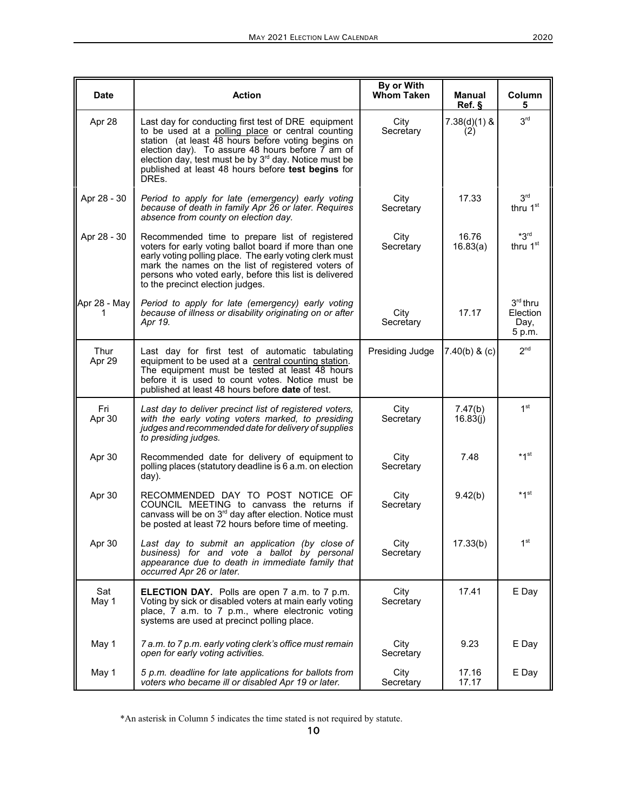| <b>Date</b>    | <b>Action</b>                                                                                                                                                                                                                                                                                                                                          | By or With<br><b>Whom Taken</b> | <b>Manual</b><br>Ref. § | Column<br>5                              |
|----------------|--------------------------------------------------------------------------------------------------------------------------------------------------------------------------------------------------------------------------------------------------------------------------------------------------------------------------------------------------------|---------------------------------|-------------------------|------------------------------------------|
| Apr 28         | Last day for conducting first test of DRE equipment<br>to be used at a polling place or central counting<br>station (at least 48 hours before voting begins on<br>election day). To assure 48 hours before 7 am of<br>election day, test must be by 3 <sup>rd</sup> day. Notice must be<br>published at least 48 hours before test begins for<br>DREs. | City<br>Secretary               | $7.38(d)(1)$ &<br>(2)   | 3 <sup>rd</sup>                          |
| Apr 28 - 30    | Period to apply for late (emergency) early voting<br>because of death in family Apr 26 or later. Requires<br>absence from county on election day.                                                                                                                                                                                                      | City<br>Secretary               | 17.33                   | 3 <sup>rd</sup><br>thru 1 <sup>st</sup>  |
| Apr 28 - 30    | Recommended time to prepare list of registered<br>voters for early voting ballot board if more than one<br>early voting polling place. The early voting clerk must<br>mark the names on the list of registered voters of<br>persons who voted early, before this list is delivered<br>to the precinct election judges.                                 | City<br>Secretary               | 16.76<br>16.83(a)       | $*3rd$<br>thru 1 <sup>st</sup>           |
| Apr 28 - May   | Period to apply for late (emergency) early voting<br>because of illness or disability originating on or after<br>Apr 19.                                                                                                                                                                                                                               | City<br>Secretary               | 17.17                   | $3rd$ thru<br>Election<br>Day,<br>5 p.m. |
| Thur<br>Apr 29 | Last day for first test of automatic tabulating<br>equipment to be used at a central counting station.<br>The equipment must be tested at least 48 hours<br>before it is used to count votes. Notice must be<br>published at least 48 hours before <b>date</b> of test.                                                                                | Presiding Judge                 | $7.40(b)$ & (c)         | 2 <sup>nd</sup>                          |
| Fri<br>Apr 30  | Last day to deliver precinct list of registered voters,<br>with the early voting voters marked, to presiding<br>judges and recommended date for delivery of supplies<br>to presiding judges.                                                                                                                                                           | City<br>Secretary               | 7.47(b)<br>16.83(j)     | 1 <sup>st</sup>                          |
| Apr 30         | Recommended date for delivery of equipment to<br>polling places (statutory deadline is 6 a.m. on election<br>day).                                                                                                                                                                                                                                     | City<br>Secretary               | 7.48                    | $*1$ st                                  |
| Apr 30         | RECOMMENDED DAY TO POST NOTICE OF<br>COUNCIL MEETING to canvass the returns if<br>canvass will be on 3 <sup>rd</sup> day after election. Notice must<br>be posted at least 72 hours before time of meeting.                                                                                                                                            | City<br>Secretary               | 9.42(b)                 | $*1$ st                                  |
| Apr 30         | Last day to submit an application (by close of<br>business) for and vote a ballot by personal<br>appearance due to death in immediate family that<br>occurred Apr 26 or later.                                                                                                                                                                         | City<br>Secretary               | 17.33(b)                | 1 <sup>st</sup>                          |
| Sat<br>May 1   | <b>ELECTION DAY.</b> Polls are open 7 a.m. to 7 p.m.<br>Voting by sick or disabled voters at main early voting<br>place, 7 a.m. to 7 p.m., where electronic voting<br>systems are used at precinct polling place.                                                                                                                                      | City<br>Secretary               | 17.41                   | E Day                                    |
| May 1          | 7 a.m. to 7 p.m. early voting clerk's office must remain<br>open for early voting activities.                                                                                                                                                                                                                                                          | City<br>Secretary               | 9.23                    | E Day                                    |
| May 1          | 5 p.m. deadline for late applications for ballots from<br>voters who became ill or disabled Apr 19 or later.                                                                                                                                                                                                                                           | City<br>Secretary               | 17.16<br>17.17          | E Day                                    |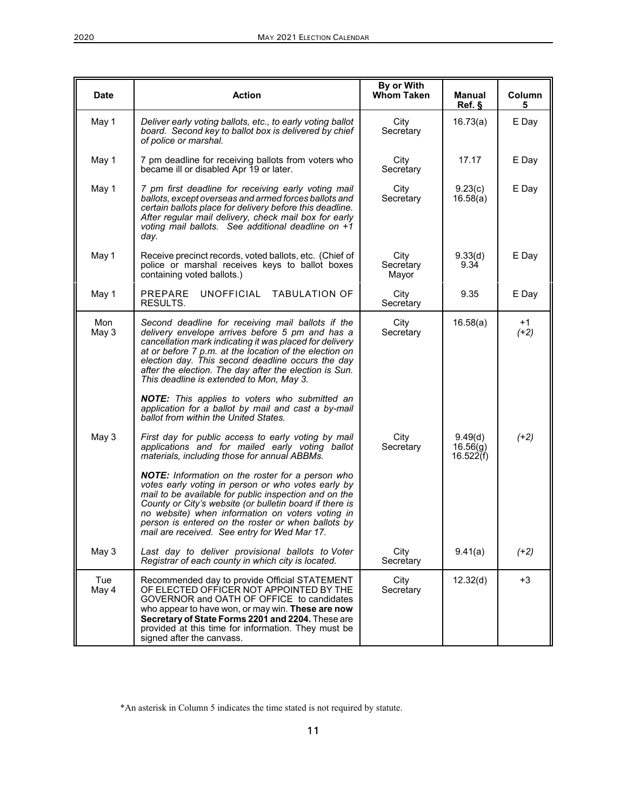| <b>Date</b>  | <b>Action</b>                                                                                                                                                                                                                                                                                                                                                                        | By or With<br><b>Whom Taken</b> | <b>Manual</b><br>Ref.            | Column<br>5    |
|--------------|--------------------------------------------------------------------------------------------------------------------------------------------------------------------------------------------------------------------------------------------------------------------------------------------------------------------------------------------------------------------------------------|---------------------------------|----------------------------------|----------------|
| May 1        | Deliver early voting ballots, etc., to early voting ballot<br>board. Second key to ballot box is delivered by chief<br>of police or marshal.                                                                                                                                                                                                                                         | City<br>Secretary               | 16.73(a)                         | E Day          |
| May 1        | 7 pm deadline for receiving ballots from voters who<br>became ill or disabled Apr 19 or later.                                                                                                                                                                                                                                                                                       | City<br>Secretary               | 17.17                            | E Day          |
| May 1        | 7 pm first deadline for receiving early voting mail<br>ballots, except overseas and armed forces ballots and<br>certain ballots place for delivery before this deadline.<br>After regular mail delivery, check mail box for early<br>voting mail ballots. See additional deadline on +1<br>day.                                                                                      | City<br>Secretary               | 9.23(c)<br>16.58(a)              | E Day          |
| May 1        | Receive precinct records, voted ballots, etc. (Chief of<br>police or marshal receives keys to ballot boxes<br>containing voted ballots.)                                                                                                                                                                                                                                             | City<br>Secretary<br>Mayor      | 9.33(d)<br>9.34                  | E Day          |
| May 1        | PREPARE<br>UNOFFICIAL TABULATION OF<br>RESULTS.                                                                                                                                                                                                                                                                                                                                      | City<br>Secretary               | 9.35                             | E Day          |
| Mon<br>May 3 | Second deadline for receiving mail ballots if the<br>delivery envelope arrives before 5 pm and has a<br>cancellation mark indicating it was placed for delivery<br>at or before 7 p.m. at the location of the election on<br>election day. This second deadline occurs the day<br>after the election. The day after the election is Sun.<br>This deadline is extended to Mon, May 3. | City<br>Secretary               | 16.58(a)                         | $+1$<br>$(+2)$ |
|              | <b>NOTE:</b> This applies to voters who submitted an<br>application for a ballot by mail and cast a by-mail<br>ballot from within the United States.                                                                                                                                                                                                                                 |                                 |                                  |                |
| May 3        | First day for public access to early voting by mail<br>applications and for mailed early voting ballot<br>materials, including those for annual ABBMs.                                                                                                                                                                                                                               | City<br>Secretary               | 9.49(d)<br>16.56(g)<br>16.522(f) | $(+2)$         |
|              | NOTE: Information on the roster for a person who<br>votes early voting in person or who votes early by<br>mail to be available for public inspection and on the<br>County or City's website (or bulletin board if there is<br>no website) when information on voters voting in<br>person is entered on the roster or when ballots by<br>mail are received. See entry for Wed Mar 17. |                                 |                                  |                |
| May 3        | Last day to deliver provisional ballots to Voter<br>Registrar of each county in which city is located.                                                                                                                                                                                                                                                                               | City<br>Secretary               | 9.41(a)                          | $(+2)$         |
| Tue<br>May 4 | Recommended day to provide Official STATEMENT<br>OF ELECTED OFFICER NOT APPOINTED BY THE<br>GOVERNOR and OATH OF OFFICE to candidates<br>who appear to have won, or may win. These are now<br>Secretary of State Forms 2201 and 2204. These are<br>provided at this time for information. They must be<br>signed after the canvass.                                                  | City<br>Secretary               | 12.32(d)                         | $+3$           |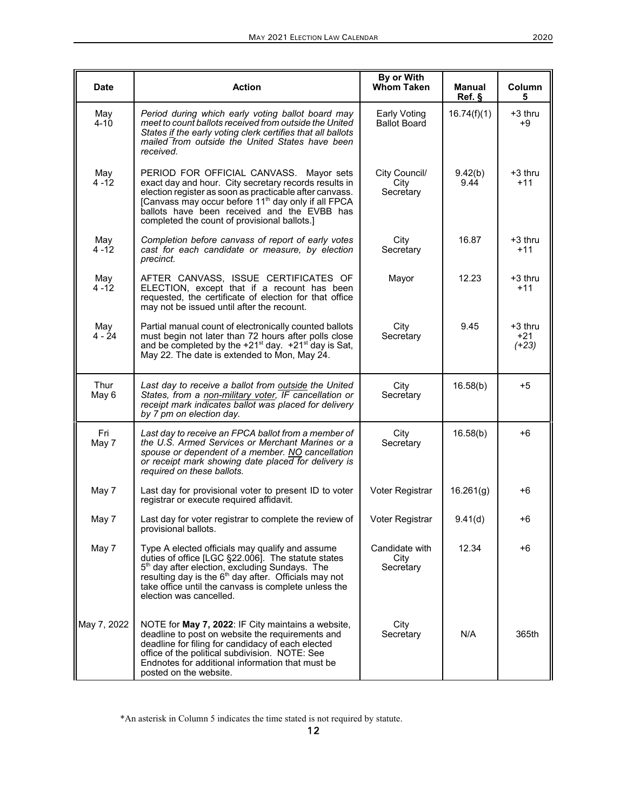| <b>Date</b>     | <b>Action</b>                                                                                                                                                                                                                                                                                                                 | By or With<br><b>Whom Taken</b>     | Manual<br>Ref. § | Column<br>5                 |
|-----------------|-------------------------------------------------------------------------------------------------------------------------------------------------------------------------------------------------------------------------------------------------------------------------------------------------------------------------------|-------------------------------------|------------------|-----------------------------|
| May<br>$4 - 10$ | Period during which early voting ballot board may<br>meet to count ballots received from outside the United<br>States if the early voting clerk certifies that all ballots<br>mailed from outside the United States have been<br>received.                                                                                    | Early Voting<br><b>Ballot Board</b> | 16.74(f)(1)      | $+3$ thru<br>$+9$           |
| May<br>$4 - 12$ | PERIOD FOR OFFICIAL CANVASS. Mayor sets<br>exact day and hour. City secretary records results in<br>election register as soon as practicable after canvass.<br>[Canvass may occur before 11 <sup>th</sup> day only if all FPCA<br>ballots have been received and the EVBB has<br>completed the count of provisional ballots.] | City Council/<br>City<br>Secretary  | 9.42(b)<br>9.44  | $+3$ thru<br>$+11$          |
| May<br>$4 - 12$ | Completion before canvass of report of early votes<br>cast for each candidate or measure, by election<br>precinct.                                                                                                                                                                                                            | City<br>Secretary                   | 16.87            | +3 thru<br>$+11$            |
| May<br>$4 - 12$ | AFTER CANVASS, ISSUE CERTIFICATES OF<br>ELECTION, except that if a recount has been<br>requested, the certificate of election for that office<br>may not be issued until after the recount.                                                                                                                                   | Mayor                               | 12.23            | $+3$ thru<br>$+11$          |
| May<br>4 - 24   | Partial manual count of electronically counted ballots<br>must begin not later than 72 hours after polls close<br>and be completed by the $+21^{st}$ day. $+21^{st}$ day is Sat,<br>May 22. The date is extended to Mon, May 24.                                                                                              | City<br>Secretary                   | 9.45             | $+3$ thru<br>+21<br>$(+23)$ |
| Thur<br>May 6   | Last day to receive a ballot from outside the United<br>States, from a non-military voter, IF cancellation or<br>receipt mark indicates ballot was placed for delivery<br>by 7 pm on election day.                                                                                                                            | City<br>Secretary                   | 16.58(b)         | $+5$                        |
| Fri<br>May 7    | Last day to receive an FPCA ballot from a member of<br>the U.S. Armed Services or Merchant Marines or a<br>spouse or dependent of a member. NO cancellation<br>or receipt mark showing date placed for delivery is<br>required on these ballots.                                                                              | City<br>Secretary                   | 16.58(b)         | $+6$                        |
| May 7           | Last day for provisional voter to present ID to voter<br>registrar or execute required affidavit.                                                                                                                                                                                                                             | Voter Registrar                     | 16.261(g)        | $+6$                        |
| May 7           | Last day for voter registrar to complete the review of<br>provisional ballots.                                                                                                                                                                                                                                                | Voter Registrar                     | 9.41(d)          | +6                          |
| May 7           | Type A elected officials may qualify and assume<br>duties of office [LGC §22.006]. The statute states<br>5 <sup>th</sup> day after election, excluding Sundays. The<br>resulting day is the $6th$ day after. Officials may not<br>take office until the canvass is complete unless the<br>election was cancelled.             | Candidate with<br>City<br>Secretary | 12.34            | +6                          |
| May 7, 2022     | NOTE for May 7, 2022: IF City maintains a website,<br>deadline to post on website the requirements and<br>deadline for filing for candidacy of each elected<br>office of the political subdivision. NOTE: See<br>Endnotes for additional information that must be<br>posted on the website.                                   | City<br>Secretary                   | N/A              | 365th                       |

<sup>\*</sup>An asterisk in Column 5 indicates the time stated is not required by statute.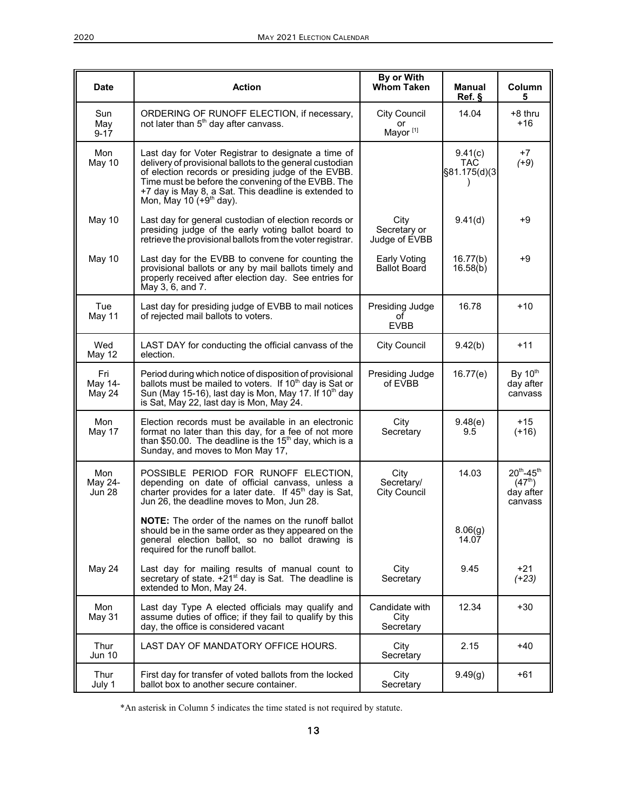| <b>Date</b>                     | <b>Action</b>                                                                                                                                                                                                                                                                                                     | By or With<br><b>Whom Taken</b>                   | Manual<br>Ref.                        | Column<br>5                                                        |
|---------------------------------|-------------------------------------------------------------------------------------------------------------------------------------------------------------------------------------------------------------------------------------------------------------------------------------------------------------------|---------------------------------------------------|---------------------------------------|--------------------------------------------------------------------|
| Sun<br>May<br>$9 - 17$          | ORDERING OF RUNOFF ELECTION, if necessary,<br>not later than 5 <sup>th</sup> day after canvass.                                                                                                                                                                                                                   | <b>City Council</b><br>or<br>Mayor <sup>[1]</sup> | 14.04                                 | +8 thru<br>$+16$                                                   |
| Mon<br>May 10                   | Last day for Voter Registrar to designate a time of<br>delivery of provisional ballots to the general custodian<br>of election records or presiding judge of the EVBB.<br>Time must be before the convening of the EVBB. The<br>+7 day is May 8, a Sat. This deadline is extended to<br>Mon, May 10 $(+9th$ day). |                                                   | 9.41(c)<br><b>TAC</b><br>§81.175(d)(3 | $+7$<br>$(+9)$                                                     |
| May 10                          | Last day for general custodian of election records or<br>presiding judge of the early voting ballot board to<br>retrieve the provisional ballots from the voter registrar.                                                                                                                                        | City<br>Secretary or<br>Judge of EVBB             | 9.41(d)                               | $+9$                                                               |
| May 10                          | Last day for the EVBB to convene for counting the<br>provisional ballots or any by mail ballots timely and<br>properly received after election day. See entries for<br>May 3, 6, and 7.                                                                                                                           | <b>Early Voting</b><br><b>Ballot Board</b>        | 16.77(b)<br>16.58(b)                  | $+9$                                                               |
| Tue<br>May 11                   | Last day for presiding judge of EVBB to mail notices<br>of rejected mail ballots to voters.                                                                                                                                                                                                                       | Presiding Judge<br>Ωf<br><b>EVBB</b>              | 16.78                                 | $+10$                                                              |
| Wed<br>May 12                   | LAST DAY for conducting the official canvass of the<br>election.                                                                                                                                                                                                                                                  | <b>City Council</b>                               | 9.42(b)                               | $+11$                                                              |
| Fri<br>May 14-<br>May 24        | Period during which notice of disposition of provisional<br>ballots must be mailed to voters. If 10 <sup>th</sup> day is Sat or<br>Sun (May 15-16), last day is Mon, May 17. If 10 <sup>th</sup> day<br>is Sat, May 22, last day is Mon, May 24.                                                                  | Presiding Judge<br>of EVBB                        | 16.77(e)                              | By 10 <sup>th</sup><br>day after<br>canvass                        |
| Mon<br>May 17                   | Election records must be available in an electronic<br>format no later than this day, for a fee of not more<br>than \$50.00. The deadline is the $15th$ day, which is a<br>Sunday, and moves to Mon May 17,                                                                                                       | City<br>Secretary                                 | 9.48(e)<br>9.5                        | +15<br>$(+16)$                                                     |
| Mon<br>May 24-<br><b>Jun 28</b> | POSSIBLE PERIOD FOR RUNOFF ELECTION,<br>depending on date of official canvass, unless a<br>charter provides for a later date. If 45 <sup>th</sup> day is Sat,<br>Jun 26, the deadline moves to Mon, Jun 28.                                                                                                       | City<br>Secretary/<br>City Council                | 14.03                                 | $20^{th} - 45^{th}$<br>(47 <sup>th</sup> )<br>day after<br>canvass |
|                                 | NOTE: The order of the names on the runoff ballot<br>should be in the same order as they appeared on the<br>general election ballot, so no ballot drawing is<br>required for the runoff ballot.                                                                                                                   |                                                   | 8.06(g)<br>14.07                      |                                                                    |
| May 24                          | Last day for mailing results of manual count to<br>secretary of state. $+21$ <sup>st</sup> day is Sat. The deadline is<br>extended to Mon, May 24.                                                                                                                                                                | City<br>Secretary                                 | 9.45                                  | $+21$<br>$(+23)$                                                   |
| Mon<br>May 31                   | Last day Type A elected officials may qualify and<br>assume duties of office; if they fail to qualify by this<br>day, the office is considered vacant                                                                                                                                                             | Candidate with<br>City<br>Secretary               | 12.34                                 | +30                                                                |
| Thur<br><b>Jun 10</b>           | LAST DAY OF MANDATORY OFFICE HOURS.                                                                                                                                                                                                                                                                               | City<br>Secretary                                 | 2.15                                  | +40                                                                |
| Thur<br>July 1                  | First day for transfer of voted ballots from the locked<br>ballot box to another secure container.                                                                                                                                                                                                                | City<br>Secretary                                 | 9.49(g)                               | +61                                                                |